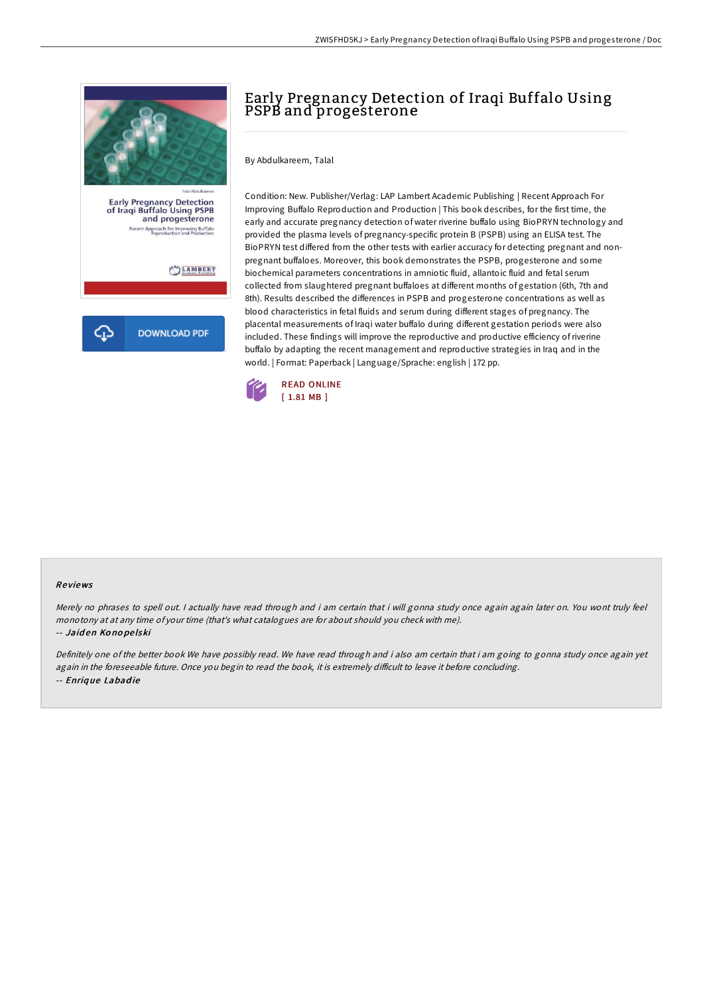

Early Pregnancy Detection<br>of Iraqi Buffalo Using PSPB<br>and progesterone t<br>Approach For Improving Buffalo<br>Reproduction and Production

LAMBERT

**DOWNLOAD PDF** 

# Early Pregnancy Detection of Iraqi Buffalo Using PSPB and progesterone

By Abdulkareem, Talal

Condition: New. Publisher/Verlag: LAP Lambert Academic Publishing | Recent Approach For Improving Buffalo Reproduction and Production | This book describes, for the first time, the early and accurate pregnancy detection of water riverine buffalo using BioPRYN technology and provided the plasma levels of pregnancy-specific protein B (PSPB) using an ELISA test. The BioPRYN test differed from the other tests with earlier accuracy for detecting pregnant and nonpregnant buffaloes. Moreover, this book demonstrates the PSPB, progesterone and some biochemical parameters concentrations in amniotic fluid, allantoic fluid and fetal serum collected from slaughtered pregnant buffaloes at different months of gestation (6th, 7th and 8th). Results described the differences in PSPB and progesterone concentrations as well as blood characteristics in fetal fluids and serum during different stages of pregnancy. The placental measurements of Iraqi water buffalo during different gestation periods were also included. These findings will improve the reproductive and productive efficiency ofriverine buffalo by adapting the recent management and reproductive strategies in Iraq and in the world. | Format: Paperback | Language/Sprache: english | 172 pp.



#### Re views

Merely no phrases to spell out. <sup>I</sup> actually have read through and i am certain that i will gonna study once again again later on. You wont truly feel monotony at at any time of your time (that's what catalogues are for about should you check with me). -- Jaid en Ko no pe lski

Definitely one of the better book We have possibly read. We have read through and i also am certain that i am going to gonna study once again yet again in the foreseeable future. Once you begin to read the book, it is extremely difficult to leave it before concluding. -- Enriq ue Labad ie